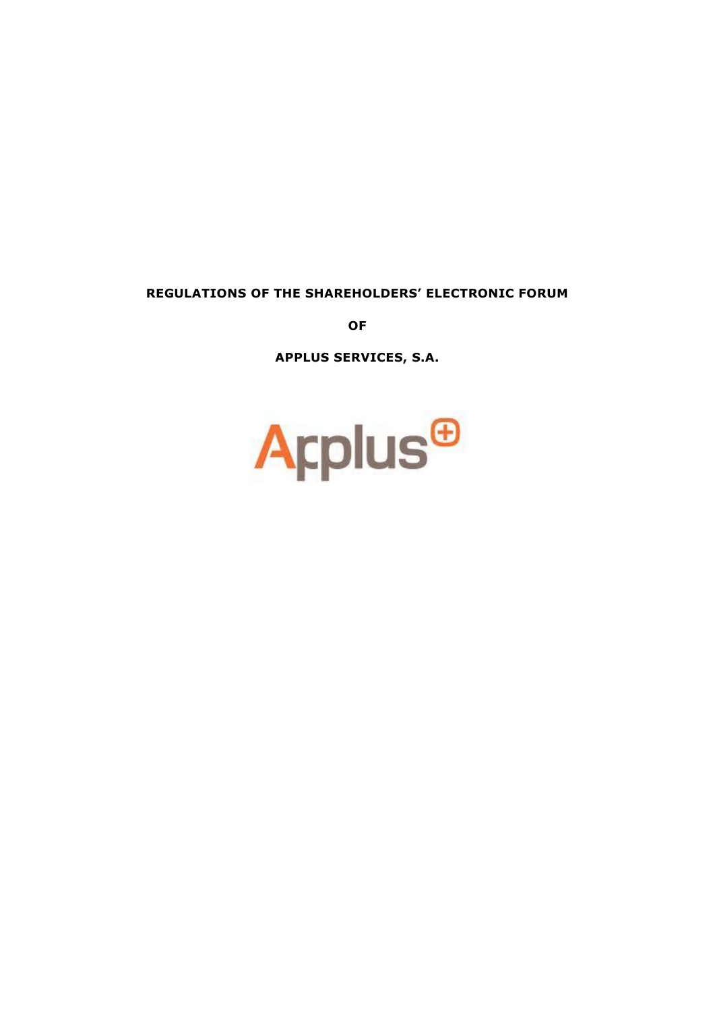### **REGULATIONS OF THE SHAREHOLDERS' ELECTRONIC FORUM**

**OF** 

**APPLUS SERVICES, S.A.**

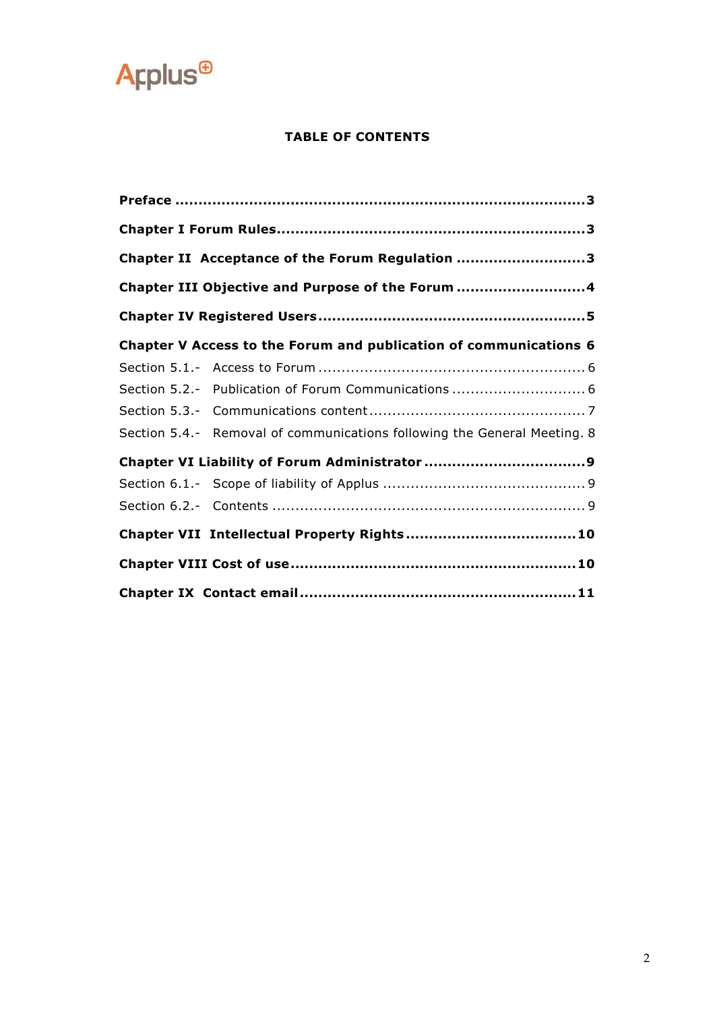

### **TABLE OF CONTENTS**

|  | Chapter II Acceptance of the Forum Regulation 3                          |
|--|--------------------------------------------------------------------------|
|  | Chapter III Objective and Purpose of the Forum 4                         |
|  |                                                                          |
|  | Chapter V Access to the Forum and publication of communications 6        |
|  |                                                                          |
|  |                                                                          |
|  |                                                                          |
|  | Section 5.4.- Removal of communications following the General Meeting. 8 |
|  |                                                                          |
|  |                                                                          |
|  |                                                                          |
|  |                                                                          |
|  |                                                                          |
|  |                                                                          |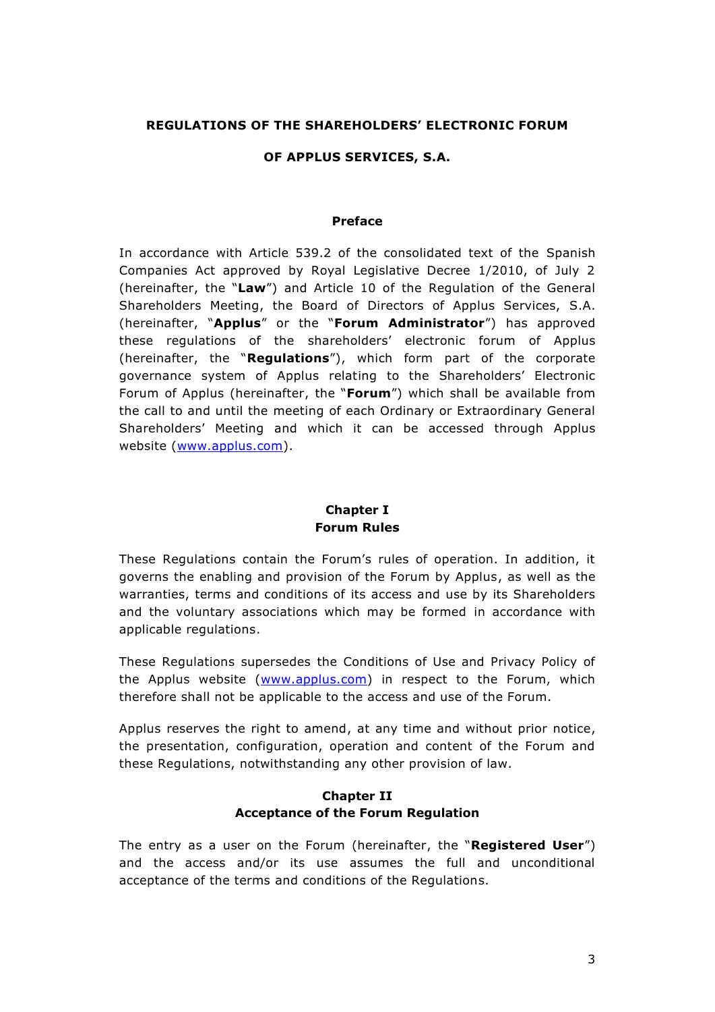#### **REGULATIONS OF THE SHAREHOLDERS' ELECTRONIC FORUM**

#### **OF APPLUS SERVICES, S.A.**

#### **Preface**

<span id="page-2-0"></span>In accordance with Article 539.2 of the consolidated text of the Spanish Companies Act approved by Royal Legislative Decree 1/2010, of July 2 (hereinafter, the "**Law**") and Article 10 of the Regulation of the General Shareholders Meeting, the Board of Directors of Applus Services, S.A. (hereinafter, "**Applus**" or the "**Forum Administrator**") has approved these regulations of the shareholders' electronic forum of Applus (hereinafter, the "**Regulations**"), which form part of the corporate governance system of Applus relating to the Shareholders' Electronic Forum of Applus (hereinafter, the "**Forum**") which shall be available from the call to and until the meeting of each Ordinary or Extraordinary General Shareholders' Meeting and which it can be accessed through Applus website [\(www.applus.com\)](http://www.applus.com/).

#### **Chapter I Forum Rules**

<span id="page-2-1"></span>These Regulations contain the Forum's rules of operation. In addition, it governs the enabling and provision of the Forum by Applus, as well as the warranties, terms and conditions of its access and use by its Shareholders and the voluntary associations which may be formed in accordance with applicable regulations.

These Regulations supersedes the Conditions of Use and Privacy Policy of the Applus website [\(www.applus.com\)](http://www.applus.com/) in respect to the Forum, which therefore shall not be applicable to the access and use of the Forum.

Applus reserves the right to amend, at any time and without prior notice, the presentation, configuration, operation and content of the Forum and these Regulations, notwithstanding any other provision of law.

#### **Chapter II Acceptance of the Forum Regulation**

<span id="page-2-2"></span>The entry as a user on the Forum (hereinafter, the "**Registered User**") and the access and/or its use assumes the full and unconditional acceptance of the terms and conditions of the Regulations.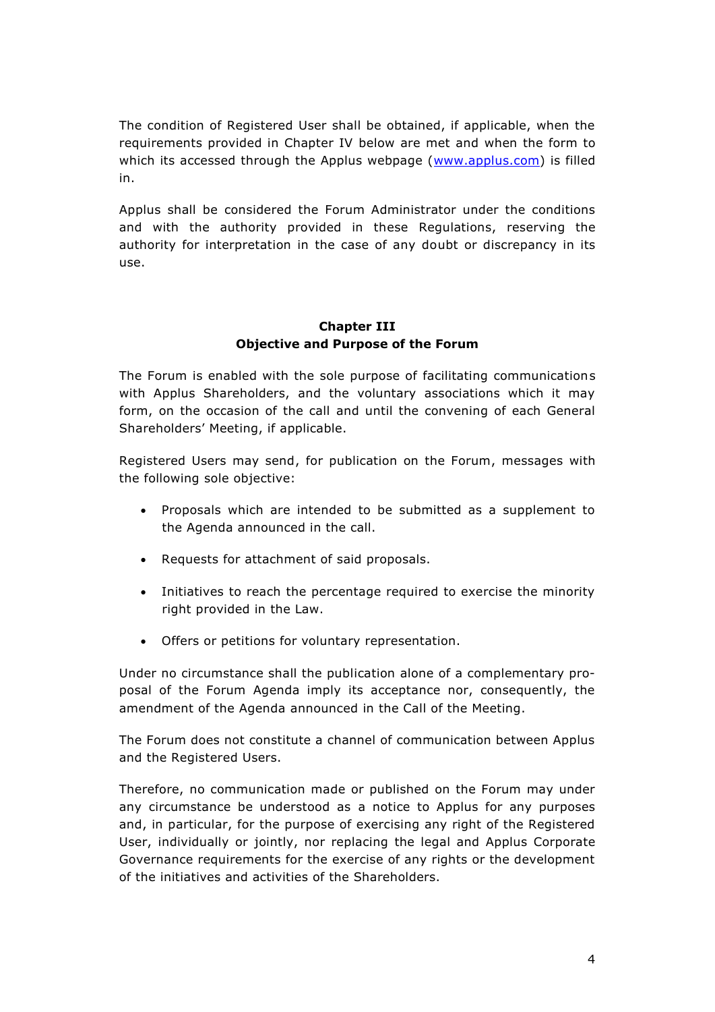The condition of Registered User shall be obtained, if applicable, when the requirements provided in Chapter IV below are met and when the form to which its accessed through the Applus webpage [\(www.applus.com\)](http://www.applus.com/) is filled in.

Applus shall be considered the Forum Administrator under the conditions and with the authority provided in these Regulations, reserving the authority for interpretation in the case of any doubt or discrepancy in its use.

### **Chapter III Objective and Purpose of the Forum**

<span id="page-3-0"></span>The Forum is enabled with the sole purpose of facilitating communications with Applus Shareholders, and the voluntary associations which it may form, on the occasion of the call and until the convening of each General Shareholders' Meeting, if applicable.

Registered Users may send, for publication on the Forum, messages with the following sole objective:

- Proposals which are intended to be submitted as a supplement to the Agenda announced in the call.
- Requests for attachment of said proposals.
- Initiatives to reach the percentage required to exercise the minority right provided in the Law.
- Offers or petitions for voluntary representation.

Under no circumstance shall the publication alone of a complementary proposal of the Forum Agenda imply its acceptance nor, consequently, the amendment of the Agenda announced in the Call of the Meeting.

The Forum does not constitute a channel of communication between Applus and the Registered Users.

Therefore, no communication made or published on the Forum may under any circumstance be understood as a notice to Applus for any purposes and, in particular, for the purpose of exercising any right of the Registered User, individually or jointly, nor replacing the legal and Applus Corporate Governance requirements for the exercise of any rights or the development of the initiatives and activities of the Shareholders.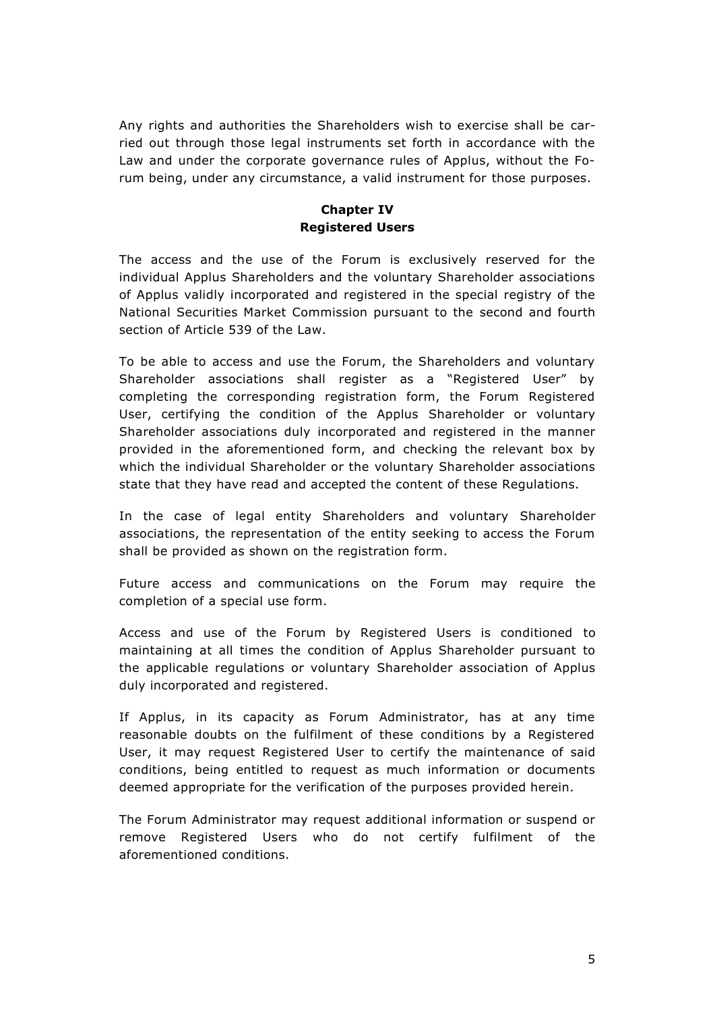Any rights and authorities the Shareholders wish to exercise shall be carried out through those legal instruments set forth in accordance with the Law and under the corporate governance rules of Applus, without the Forum being, under any circumstance, a valid instrument for those purposes.

## **Chapter IV Registered Users**

<span id="page-4-0"></span>The access and the use of the Forum is exclusively reserved for the individual Applus Shareholders and the voluntary Shareholder associations of Applus validly incorporated and registered in the special registry of the National Securities Market Commission pursuant to the second and fourth section of Article 539 of the Law.

To be able to access and use the Forum, the Shareholders and voluntary Shareholder associations shall register as a "Registered User" by completing the corresponding registration form, the Forum Registered User, certifying the condition of the Applus Shareholder or voluntary Shareholder associations duly incorporated and registered in the manner provided in the aforementioned form, and checking the relevant box by which the individual Shareholder or the voluntary Shareholder associations state that they have read and accepted the content of these Regulations.

In the case of legal entity Shareholders and voluntary Shareholder associations, the representation of the entity seeking to access the Forum shall be provided as shown on the registration form.

Future access and communications on the Forum may require the completion of a special use form.

Access and use of the Forum by Registered Users is conditioned to maintaining at all times the condition of Applus Shareholder pursuant to the applicable regulations or voluntary Shareholder association of Applus duly incorporated and registered.

If Applus, in its capacity as Forum Administrator, has at any time reasonable doubts on the fulfilment of these conditions by a Registered User, it may request Registered User to certify the maintenance of said conditions, being entitled to request as much information or documents deemed appropriate for the verification of the purposes provided herein.

The Forum Administrator may request additional information or suspend or remove Registered Users who do not certify fulfilment of the aforementioned conditions.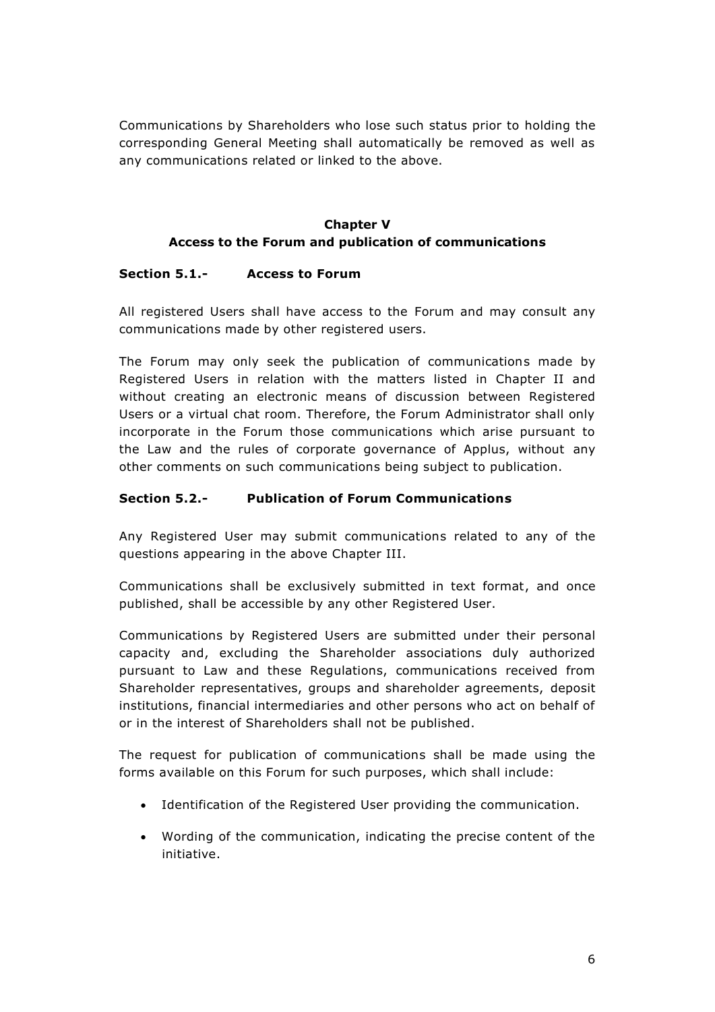Communications by Shareholders who lose such status prior to holding the corresponding General Meeting shall automatically be removed as well as any communications related or linked to the above.

# **Chapter V Access to the Forum and publication of communications**

### <span id="page-5-1"></span><span id="page-5-0"></span>**Section 5.1.- Access to Forum**

All registered Users shall have access to the Forum and may consult any communications made by other registered users.

The Forum may only seek the publication of communications made by Registered Users in relation with the matters listed in Chapter II and without creating an electronic means of discussion between Registered Users or a virtual chat room. Therefore, the Forum Administrator shall only incorporate in the Forum those communications which arise pursuant to the Law and the rules of corporate governance of Applus, without any other comments on such communications being subject to publication.

## <span id="page-5-2"></span>**Section 5.2.- Publication of Forum Communications**

Any Registered User may submit communications related to any of the questions appearing in the above Chapter III.

Communications shall be exclusively submitted in text format, and once published, shall be accessible by any other Registered User.

Communications by Registered Users are submitted under their personal capacity and, excluding the Shareholder associations duly authorized pursuant to Law and these Regulations, communications received from Shareholder representatives, groups and shareholder agreements, deposit institutions, financial intermediaries and other persons who act on behalf of or in the interest of Shareholders shall not be published.

The request for publication of communications shall be made using the forms available on this Forum for such purposes, which shall include:

- Identification of the Registered User providing the communication.
- Wording of the communication, indicating the precise content of the initiative.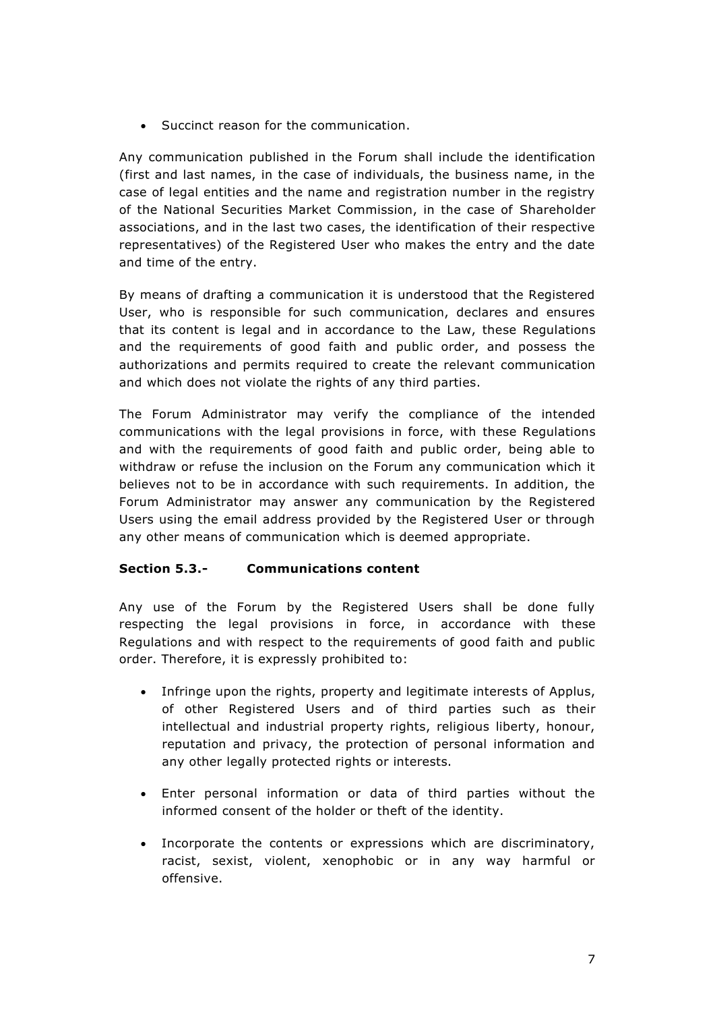Succinct reason for the communication.

Any communication published in the Forum shall include the identification (first and last names, in the case of individuals, the business name, in the case of legal entities and the name and registration number in the registry of the National Securities Market Commission, in the case of Shareholder associations, and in the last two cases, the identification of their respective representatives) of the Registered User who makes the entry and the date and time of the entry.

By means of drafting a communication it is understood that the Registered User, who is responsible for such communication, declares and ensures that its content is legal and in accordance to the Law, these Regulations and the requirements of good faith and public order, and possess the authorizations and permits required to create the relevant communication and which does not violate the rights of any third parties.

The Forum Administrator may verify the compliance of the intended communications with the legal provisions in force, with these Regulations and with the requirements of good faith and public order, being able to withdraw or refuse the inclusion on the Forum any communication which it believes not to be in accordance with such requirements. In addition, the Forum Administrator may answer any communication by the Registered Users using the email address provided by the Registered User or through any other means of communication which is deemed appropriate.

#### <span id="page-6-0"></span>**Section 5.3.- Communications content**

Any use of the Forum by the Registered Users shall be done fully respecting the legal provisions in force, in accordance with these Regulations and with respect to the requirements of good faith and public order. Therefore, it is expressly prohibited to:

- Infringe upon the rights, property and legitimate interests of Applus, of other Registered Users and of third parties such as their intellectual and industrial property rights, religious liberty, honour, reputation and privacy, the protection of personal information and any other legally protected rights or interests.
- Enter personal information or data of third parties without the informed consent of the holder or theft of the identity.
- Incorporate the contents or expressions which are discriminatory, racist, sexist, violent, xenophobic or in any way harmful or offensive.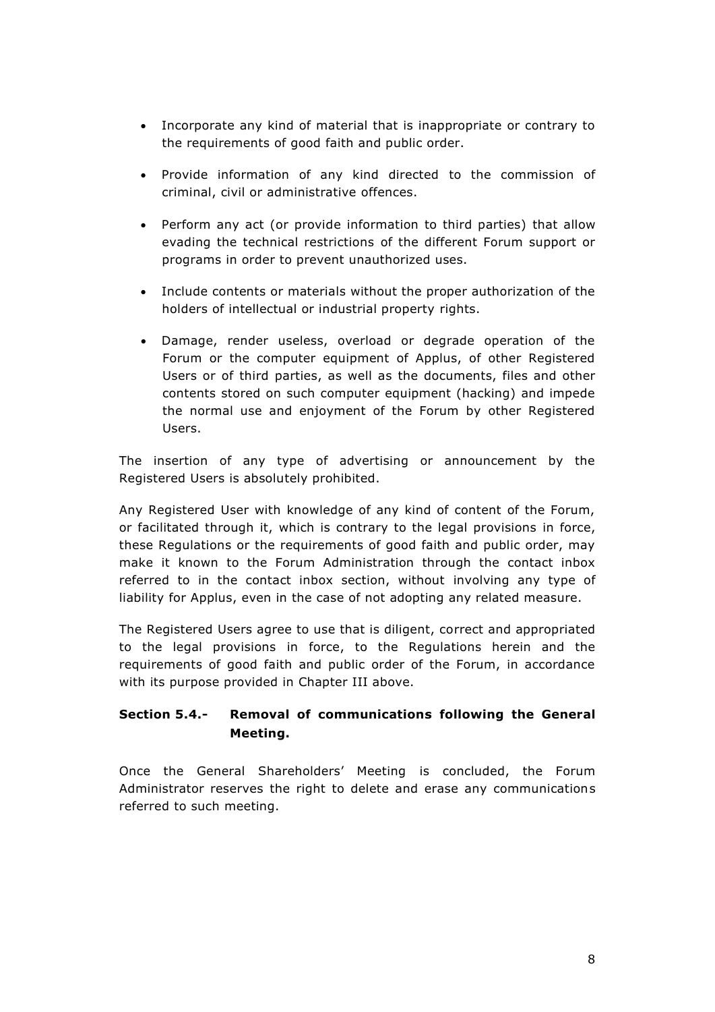- Incorporate any kind of material that is inappropriate or contrary to the requirements of good faith and public order.
- Provide information of any kind directed to the commission of criminal, civil or administrative offences.
- Perform any act (or provide information to third parties) that allow evading the technical restrictions of the different Forum support or programs in order to prevent unauthorized uses.
- Include contents or materials without the proper authorization of the holders of intellectual or industrial property rights.
- Damage, render useless, overload or degrade operation of the Forum or the computer equipment of Applus, of other Registered Users or of third parties, as well as the documents, files and other contents stored on such computer equipment (hacking) and impede the normal use and enjoyment of the Forum by other Registered Users.

The insertion of any type of advertising or announcement by the Registered Users is absolutely prohibited.

Any Registered User with knowledge of any kind of content of the Forum, or facilitated through it, which is contrary to the legal provisions in force, these Regulations or the requirements of good faith and public order, may make it known to the Forum Administration through the contact inbox referred to in the contact inbox section, without involving any type of liability for Applus, even in the case of not adopting any related measure.

The Registered Users agree to use that is diligent, correct and appropriated to the legal provisions in force, to the Regulations herein and the requirements of good faith and public order of the Forum, in accordance with its purpose provided in Chapter III above.

# <span id="page-7-0"></span>**Section 5.4.- Removal of communications following the General Meeting.**

Once the General Shareholders' Meeting is concluded, the Forum Administrator reserves the right to delete and erase any communications referred to such meeting.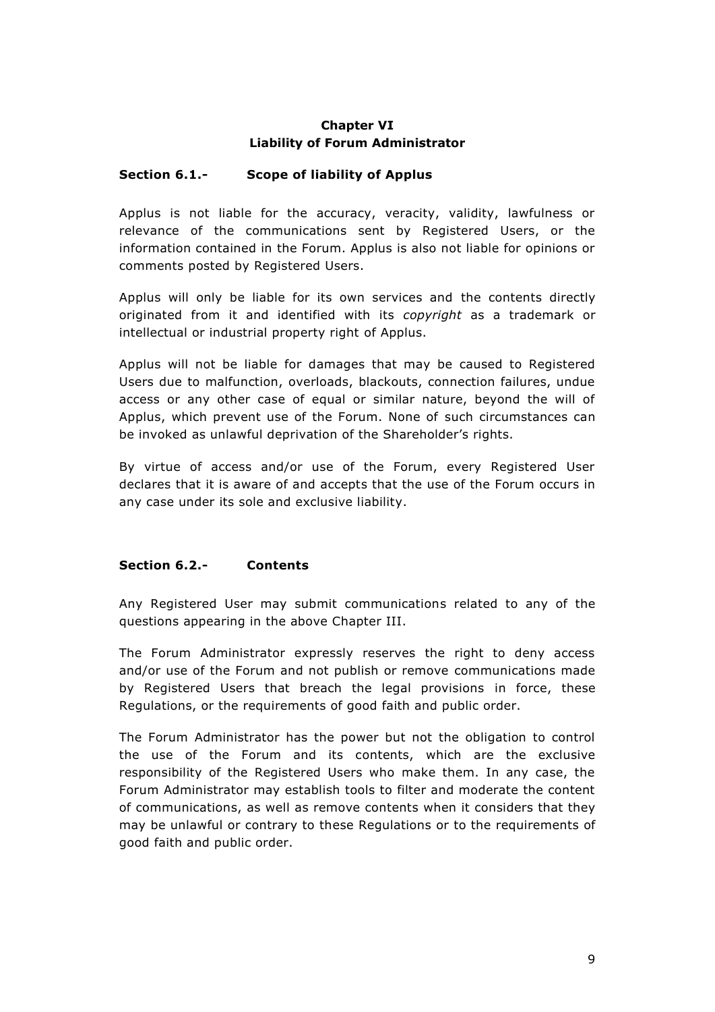# **Chapter VI Liability of Forum Administrator**

## <span id="page-8-1"></span><span id="page-8-0"></span>**Section 6.1.- Scope of liability of Applus**

Applus is not liable for the accuracy, veracity, validity, lawfulness or relevance of the communications sent by Registered Users, or the information contained in the Forum. Applus is also not liable for opinions or comments posted by Registered Users.

Applus will only be liable for its own services and the contents directly originated from it and identified with its *copyright* as a trademark or intellectual or industrial property right of Applus.

Applus will not be liable for damages that may be caused to Registered Users due to malfunction, overloads, blackouts, connection failures, undue access or any other case of equal or similar nature, beyond the will of Applus, which prevent use of the Forum. None of such circumstances can be invoked as unlawful deprivation of the Shareholder's rights.

By virtue of access and/or use of the Forum, every Registered User declares that it is aware of and accepts that the use of the Forum occurs in any case under its sole and exclusive liability.

#### <span id="page-8-2"></span>**Section 6.2.- Contents**

Any Registered User may submit communications related to any of the questions appearing in the above Chapter III.

The Forum Administrator expressly reserves the right to deny access and/or use of the Forum and not publish or remove communications made by Registered Users that breach the legal provisions in force, these Regulations, or the requirements of good faith and public order.

The Forum Administrator has the power but not the obligation to control the use of the Forum and its contents, which are the exclusive responsibility of the Registered Users who make them. In any case, the Forum Administrator may establish tools to filter and moderate the content of communications, as well as remove contents when it considers that they may be unlawful or contrary to these Regulations or to the requirements of good faith and public order.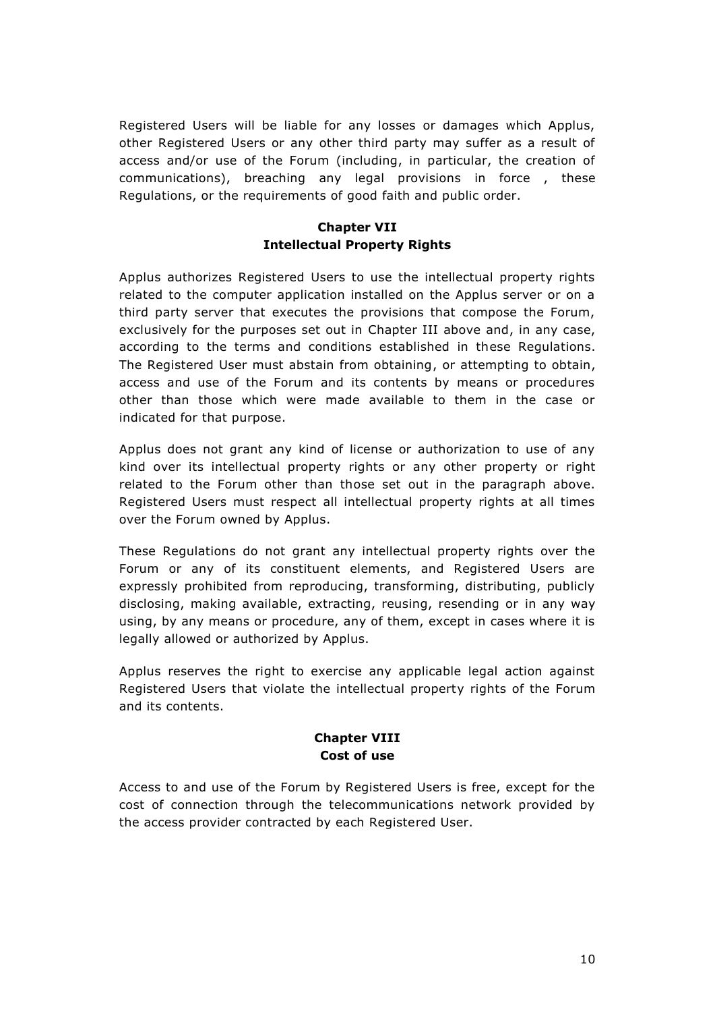Registered Users will be liable for any losses or damages which Applus, other Registered Users or any other third party may suffer as a result of access and/or use of the Forum (including, in particular, the creation of communications), breaching any legal provisions in force , these Regulations, or the requirements of good faith and public order.

## **Chapter VII Intellectual Property Rights**

<span id="page-9-0"></span>Applus authorizes Registered Users to use the intellectual property rights related to the computer application installed on the Applus server or on a third party server that executes the provisions that compose the Forum, exclusively for the purposes set out in Chapter III above and, in any case, according to the terms and conditions established in these Regulations. The Registered User must abstain from obtaining, or attempting to obtain, access and use of the Forum and its contents by means or procedures other than those which were made available to them in the case or indicated for that purpose.

Applus does not grant any kind of license or authorization to use of any kind over its intellectual property rights or any other property or right related to the Forum other than those set out in the paragraph above. Registered Users must respect all intellectual property rights at all times over the Forum owned by Applus.

These Regulations do not grant any intellectual property rights over the Forum or any of its constituent elements, and Registered Users are expressly prohibited from reproducing, transforming, distributing, publicly disclosing, making available, extracting, reusing, resending or in any way using, by any means or procedure, any of them, except in cases where it is legally allowed or authorized by Applus.

Applus reserves the right to exercise any applicable legal action against Registered Users that violate the intellectual property rights of the Forum and its contents.

#### **Chapter VIII Cost of use**

<span id="page-9-1"></span>Access to and use of the Forum by Registered Users is free, except for the cost of connection through the telecommunications network provided by the access provider contracted by each Registered User.